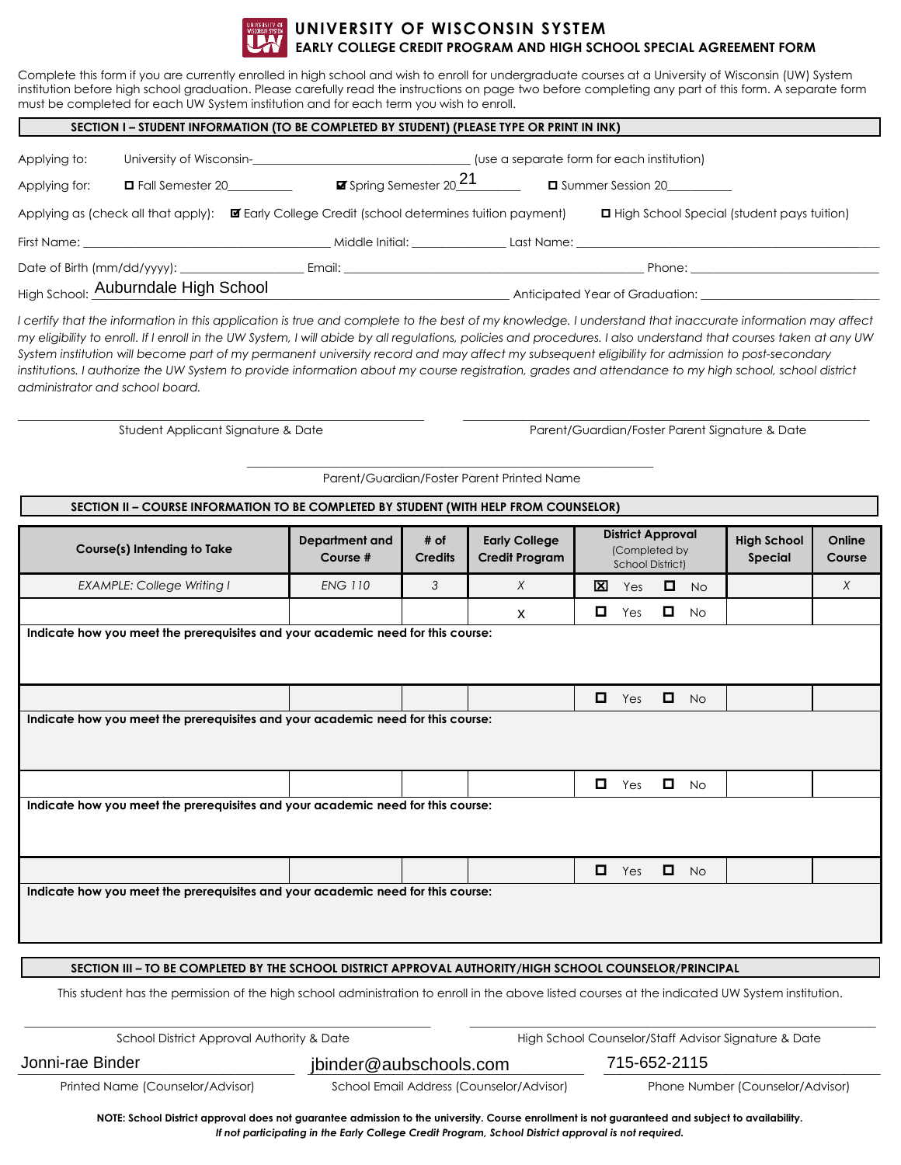

Complete this form if you are currently enrolled in high school and wish to enroll for undergraduate courses at a University of Wisconsin (UW) System institution before high school graduation. Please carefully read the instructions on page two before completing any part of this form. A separate form must be completed for each UW System institution and for each term you wish to enroll.

| SECTION I - STUDENT INFORMATION (TO BE COMPLETED BY STUDENT) (PLEASE TYPE OR PRINT IN INK) |                                                                                                                                                                                                                                |                                                          |                                                                                              |                                                                                  |  |  |
|--------------------------------------------------------------------------------------------|--------------------------------------------------------------------------------------------------------------------------------------------------------------------------------------------------------------------------------|----------------------------------------------------------|----------------------------------------------------------------------------------------------|----------------------------------------------------------------------------------|--|--|
| Applying to:                                                                               |                                                                                                                                                                                                                                |                                                          | (use a separate form for each institution)                                                   |                                                                                  |  |  |
| Applying for:                                                                              | Fall Semester 20__________                                                                                                                                                                                                     |                                                          | $\blacktriangledown$ Spring Semester 20 $\frac{21}{\sqrt{25}}$<br><b>D</b> Summer Session 20 |                                                                                  |  |  |
| Applying as (check all that apply):                                                        |                                                                                                                                                                                                                                | Early College Credit (school determines tuition payment) |                                                                                              | □ High School Special (student pays tuition)                                     |  |  |
|                                                                                            | First Name: Name and the state of the state of the state of the state of the state of the state of the state of the state of the state of the state of the state of the state of the state of the state of the state of the st |                                                          |                                                                                              | Middle Initial: _______________________Last Name: ______________________________ |  |  |
|                                                                                            |                                                                                                                                                                                                                                | Date of Birth (mm/dd/yyyy): Email: Email:                |                                                                                              | Phone: ____________________                                                      |  |  |
| High School: Auburndale High School                                                        |                                                                                                                                                                                                                                |                                                          | Anticipated Year of Graduation:                                                              |                                                                                  |  |  |

#### **SECTION II – COURSE INFORMATION TO BE COMPLETED BY STUDENT (WITH HELP FROM COUNSELOR)**

| Applying for:    | <b>O</b> Fall Semester 20__________       | $\blacktriangleright$ Spring Semester 20 $\blacktriangle$ $\blacktriangleright$                                                                                                                                                                                                                                                                                                                                                                                                                                                                                                                                                         |                        |                                               | <b>O</b> Summer Session 20                                    |                               |                  |
|------------------|-------------------------------------------|-----------------------------------------------------------------------------------------------------------------------------------------------------------------------------------------------------------------------------------------------------------------------------------------------------------------------------------------------------------------------------------------------------------------------------------------------------------------------------------------------------------------------------------------------------------------------------------------------------------------------------------------|------------------------|-----------------------------------------------|---------------------------------------------------------------|-------------------------------|------------------|
|                  |                                           | Applying as (check all that apply): <b>EX</b> Early College Credit (school determines tuition payment)                                                                                                                                                                                                                                                                                                                                                                                                                                                                                                                                  |                        |                                               | □ High School Special (student pays tuition)                  |                               |                  |
|                  |                                           |                                                                                                                                                                                                                                                                                                                                                                                                                                                                                                                                                                                                                                         |                        |                                               |                                                               |                               |                  |
|                  |                                           |                                                                                                                                                                                                                                                                                                                                                                                                                                                                                                                                                                                                                                         |                        |                                               |                                                               |                               |                  |
|                  |                                           | High School: Auburndale High School Manuel And Anticipated Year of Graduation: _______________________________                                                                                                                                                                                                                                                                                                                                                                                                                                                                                                                          |                        |                                               |                                                               |                               |                  |
|                  | administrator and school board.           | I certify that the information in this application is true and complete to the best of my knowledge. I understand that inaccurate information may affect<br>my eligibility to enroll. If I enroll in the UW System, I will abide by all regulations, policies and procedures. I also understand that courses taken at any UW<br>System institution will become part of my permanent university record and may affect my subsequent eligibility for admission to post-secondary<br>institutions. I authorize the UW System to provide information about my course registration, grades and attendance to my high school, school district |                        |                                               |                                                               |                               |                  |
|                  | Student Applicant Signature & Date        |                                                                                                                                                                                                                                                                                                                                                                                                                                                                                                                                                                                                                                         |                        |                                               | Parent/Guardian/Foster Parent Signature & Date                |                               |                  |
|                  |                                           |                                                                                                                                                                                                                                                                                                                                                                                                                                                                                                                                                                                                                                         |                        | Parent/Guardian/Foster Parent Printed Name    |                                                               |                               |                  |
|                  |                                           | SECTION II - COURSE INFORMATION TO BE COMPLETED BY STUDENT (WITH HELP FROM COUNSELOR)                                                                                                                                                                                                                                                                                                                                                                                                                                                                                                                                                   |                        |                                               |                                                               |                               |                  |
|                  | Course(s) Intending to Take               | <b>Department and</b><br>Course #                                                                                                                                                                                                                                                                                                                                                                                                                                                                                                                                                                                                       | # of<br><b>Credits</b> | <b>Early College</b><br><b>Credit Program</b> | <b>District Approval</b><br>(Completed by<br>School District) | <b>High School</b><br>Special | Online<br>Course |
|                  | <b>EXAMPLE: College Writing I</b>         | <b>ENG 110</b>                                                                                                                                                                                                                                                                                                                                                                                                                                                                                                                                                                                                                          | 3                      | X                                             | ×<br>Yes<br>$\Box$ No                                         |                               | $\chi$           |
|                  |                                           |                                                                                                                                                                                                                                                                                                                                                                                                                                                                                                                                                                                                                                         |                        | X                                             | $\blacksquare$ Yes<br>$\Box$ No                               |                               |                  |
|                  |                                           | Indicate how you meet the prerequisites and your academic need for this course:                                                                                                                                                                                                                                                                                                                                                                                                                                                                                                                                                         |                        |                                               |                                                               |                               |                  |
|                  |                                           |                                                                                                                                                                                                                                                                                                                                                                                                                                                                                                                                                                                                                                         |                        |                                               | $\Box$ No<br>$\blacksquare$ Yes                               |                               |                  |
|                  |                                           | Indicate how you meet the prerequisites and your academic need for this course:                                                                                                                                                                                                                                                                                                                                                                                                                                                                                                                                                         |                        |                                               |                                                               |                               |                  |
|                  |                                           |                                                                                                                                                                                                                                                                                                                                                                                                                                                                                                                                                                                                                                         |                        |                                               | 0<br>$\Box$ No<br>Yes                                         |                               |                  |
|                  |                                           | Indicate how you meet the prerequisites and your academic need for this course:                                                                                                                                                                                                                                                                                                                                                                                                                                                                                                                                                         |                        |                                               |                                                               |                               |                  |
|                  |                                           |                                                                                                                                                                                                                                                                                                                                                                                                                                                                                                                                                                                                                                         |                        |                                               | $\Box$ No<br>0<br>Yes                                         |                               |                  |
|                  |                                           | Indicate how you meet the prerequisites and your academic need for this course:                                                                                                                                                                                                                                                                                                                                                                                                                                                                                                                                                         |                        |                                               |                                                               |                               |                  |
|                  |                                           | SECTION III - TO BE COMPLETED BY THE SCHOOL DISTRICT APPROVAL AUTHORITY/HIGH SCHOOL COUNSELOR/PRINCIPAL                                                                                                                                                                                                                                                                                                                                                                                                                                                                                                                                 |                        |                                               |                                                               |                               |                  |
|                  |                                           | This student has the permission of the high school administration to enroll in the above listed courses at the indicated UW System institution.                                                                                                                                                                                                                                                                                                                                                                                                                                                                                         |                        |                                               |                                                               |                               |                  |
|                  | School District Approval Authority & Date |                                                                                                                                                                                                                                                                                                                                                                                                                                                                                                                                                                                                                                         |                        |                                               | High School Counselor/Staff Advisor Signature & Date          |                               |                  |
| Jonni-rae Binder |                                           | jbinder@aubschools.com                                                                                                                                                                                                                                                                                                                                                                                                                                                                                                                                                                                                                  |                        |                                               | 715-652-2115                                                  |                               |                  |

| School District Approval Authority & Date |                                          |  | High School Counselor/Staff Advisor Signature & Date |  |  |
|-------------------------------------------|------------------------------------------|--|------------------------------------------------------|--|--|
| Jonni-rae Binder                          | jbinder@aubschools.com                   |  | 715-652-2115                                         |  |  |
| Printed Name (Counselor/Advisor)          | School Email Address (Counselor/Advisor) |  | Phone Number (Counselor/Advisor)                     |  |  |

**NOTE: School District approval does not guarantee admission to the university. Course enrollment is not guaranteed and subject to availability.** *If not participating in the Early College Credit Program, School District approval is not required.*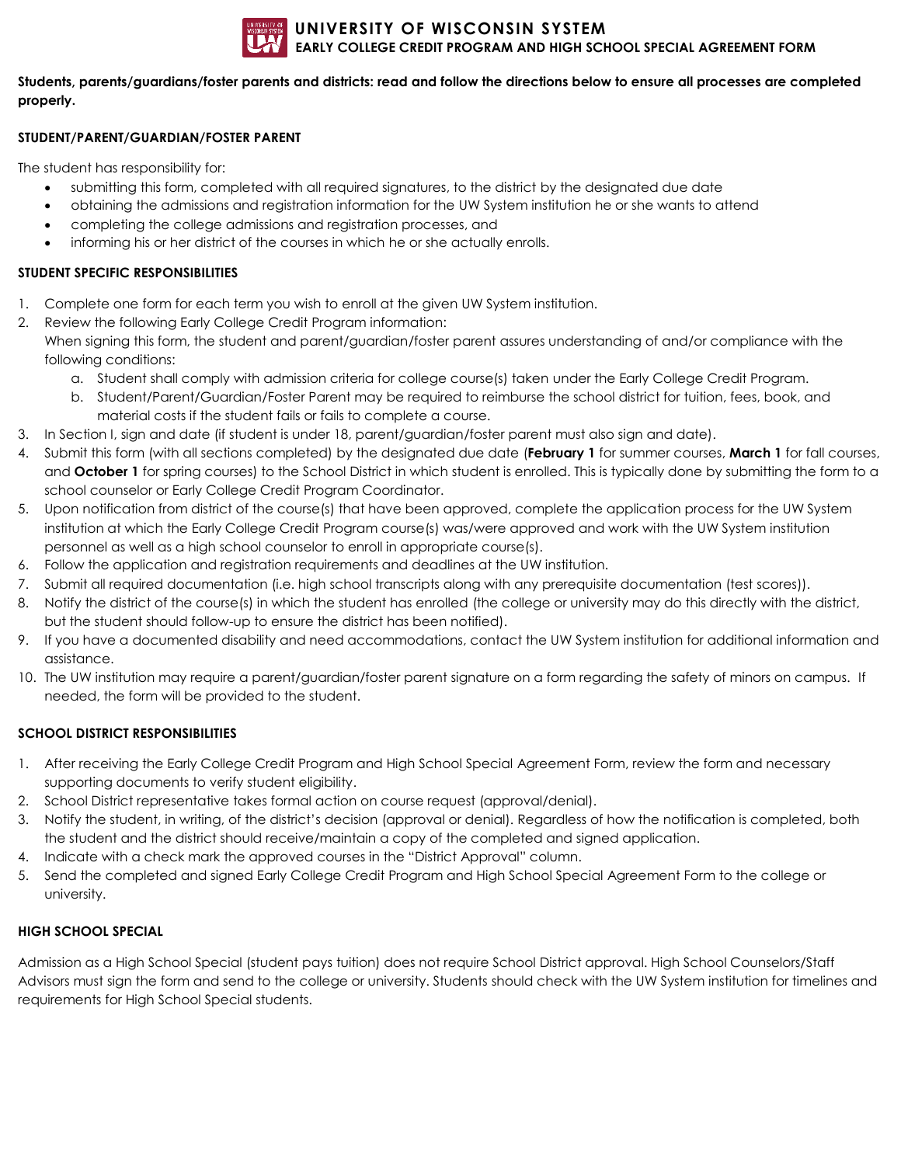

#### **Students, parents/guardians/foster parents and districts: read and follow the directions below to ensure all processes are completed properly.**

# **STUDENT/PARENT/GUARDIAN/FOSTER PARENT**

The student has responsibility for:

- submitting this form, completed with all required signatures, to the district by the designated due date
- obtaining the admissions and registration information for the UW System institution he or she wants to attend
- completing the college admissions and registration processes, and
- informing his or her district of the courses in which he or she actually enrolls.

## **STUDENT SPECIFIC RESPONSIBILITIES**

- 1. Complete one form for each term you wish to enroll at the given UW System institution.
- 2. Review the following Early College Credit Program information:

When signing this form, the student and parent/guardian/foster parent assures understanding of and/or compliance with the following conditions:

- a. Student shall comply with admission criteria for college course(s) taken under the Early College Credit Program.
- b. Student/Parent/Guardian/Foster Parent may be required to reimburse the school district for tuition, fees, book, and material costs if the student fails or fails to complete a course.
- 3. In Section I, sign and date (if student is under 18, parent/guardian/foster parent must also sign and date).
- 4. Submit this form (with all sections completed) by the designated due date (**February 1** for summer courses, **March 1** for fall courses, and **October 1** for spring courses) to the School District in which student is enrolled. This is typically done by submitting the form to a school counselor or Early College Credit Program Coordinator.
- 5. Upon notification from district of the course(s) that have been approved, complete the application process for the UW System institution at which the Early College Credit Program course(s) was/were approved and work with the UW System institution personnel as well as a high school counselor to enroll in appropriate course(s).
- 6. Follow the application and registration requirements and deadlines at the UW institution.
- 7. Submit all required documentation (i.e. high school transcripts along with any prerequisite documentation (test scores)).
- 8. Notify the district of the course(s) in which the student has enrolled (the college or university may do this directly with the district, but the student should follow-up to ensure the district has been notified).
- 9. If you have a documented disability and need accommodations, contact the UW System institution for additional information and assistance.
- 10. The UW institution may require a parent/guardian/foster parent signature on a form regarding the safety of minors on campus. If needed, the form will be provided to the student.

## **SCHOOL DISTRICT RESPONSIBILITIES**

- 1. After receiving the Early College Credit Program and High School Special Agreement Form, review the form and necessary supporting documents to verify student eligibility.
- 2. School District representative takes formal action on course request (approval/denial).
- 3. Notify the student, in writing, of the district's decision (approval or denial). Regardless of how the notification is completed, both the student and the district should receive/maintain a copy of the completed and signed application.
- 4. Indicate with a check mark the approved courses in the "District Approval" column.
- 5. Send the completed and signed Early College Credit Program and High School Special Agreement Form to the college or university.

## **HIGH SCHOOL SPECIAL**

Admission as a High School Special (student pays tuition) does not require School District approval. High School Counselors/Staff Advisors must sign the form and send to the college or university. Students should check with the UW System institution for timelines and requirements for High School Special students.